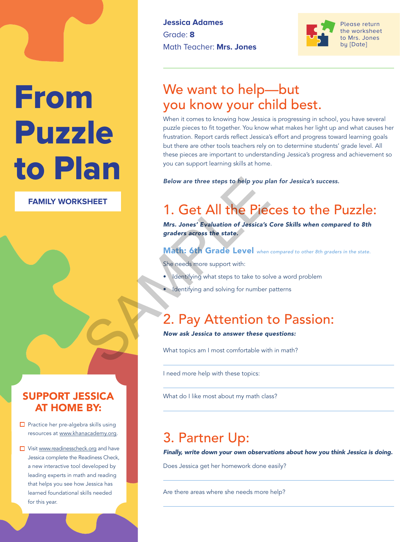# From Puzzle to Plan

**FAMILY WORKSHEET**

#### SUPPORT JESSICA AT HOME BY:

- $\Box$  Practice her pre-algebra skills using resources at www.khanacademy.org.
- Visit www.readinesscheck.org and have Jessica complete the Readiness Check, a new interactive tool developed by leading experts in math and reading that helps you see how Jessica has learned foundational skills needed for this year.

**Jessica Adames** Grade: **8** Math Teacher: **Mrs. Jones**



Please return the worksheet to Mrs. Jones by [Date]

## We want to help—but you know your child best.

When it comes to knowing how Jessica is progressing in school, you have several puzzle pieces to fit together. You know what makes her light up and what causes her frustration. Report cards reflect Jessica's effort and progress toward learning goals but there are other tools teachers rely on to determine students' grade level. All these pieces are important to understanding Jessica's progress and achievement so you can support learning skills at home.

*Below are three steps to help you plan for Jessica's success.*

# 1. Get All the Pieces to the Puzzle: Below are three steps to help you pl.<br>
SHEET<br>
1. Get All the Piece<br>
Mrs. Jones' Evaluation of Jessica's (<br>
graders across the state.<br>
Math: 6th Grade Level when<br>
She needs more support with:<br>
. Identifying what steps to ta

*Mrs. Jones' Evaluation of Jessica's Core Skills when compared to 8th graders across the state.* 

#### Math: 6th Grade Level when compared to other 8th graders in the state.

She needs more support with:

- Identifying what steps to take to solve a word problem
- Identifying and solving for number patterns

### 2. Pay Attention to Passion:

#### *Now ask Jessica to answer these questions:*

What topics am I most comfortable with in math?

I need more help with these topics:

What do I like most about my math class?

# 3. Partner Up:

*Finally, write down your own observations about how you think Jessica is doing.* 

Does Jessica get her homework done easily?

Are there areas where she needs more help?